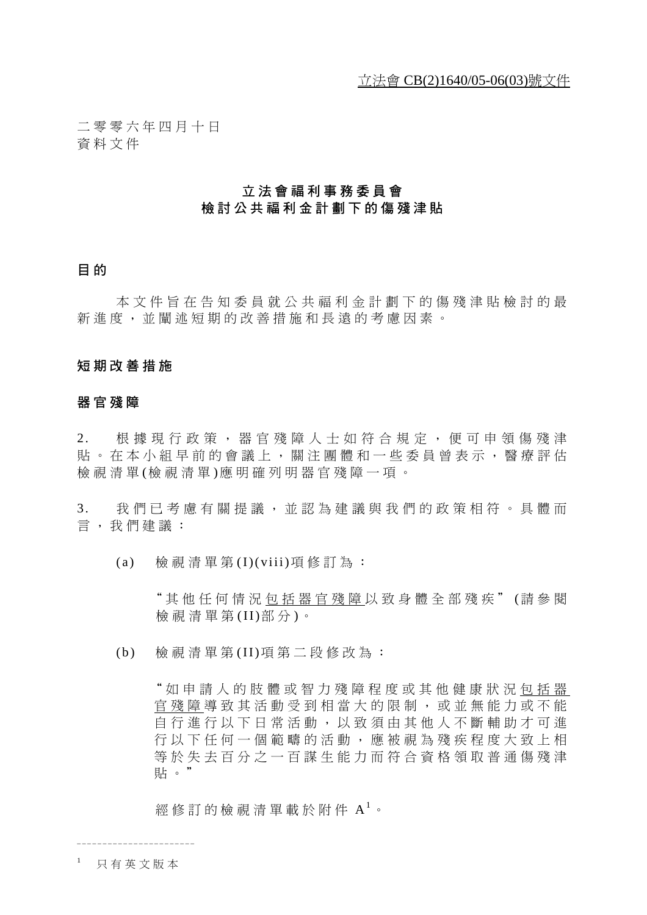二零零六年四月十日 資料文件

## 立法會福利事務委員會 檢討公共福利金計劃下的傷殘津貼

## 目 的

本文件旨在告知委員就公共福利金計劃下的傷殘津貼檢討的最 新進度,並闡述短期的改善措施和長遠的考慮因素。

## 短期改善措施

## 器官殘障

2. 根據現行政策,器官殘障人士如符合規定,便可申領傷殘津 貼。在本小組早前的會議上,關注團體和一些委員曾表示,醫療評估 檢視清單 (檢視清單 )應明確列明器官殘障一項。

3. 我們已考慮有關提議,並認為建議與我們的政策相符。具體而 言,我們建議:

(a) 檢視清單第 (I)(viii)項修訂為:

"其他任何情況包括器官殘障 以致身體全部殘疾" (請參閱 檢視清單第 (II)部 分 )。

(b) 檢視清單第 (II)項第二段修改為:

"如申請人的肢體或智力殘障程度 或其他健康狀況包括器 官殘障 導致其活動受到相當大的限制 ,或並無能力或不能 自行進行以下日常活動,以致須由其 他人不斷輔助才可進 行以下任何一個範疇的活動,應被視 為殘疾程度大致上相 等於失去百分之一百謀生能力而符合 資格領取普通傷殘津 貼。"

經修訂的檢視清單載於附件  $A^1$ 。

<sup>1</sup> 只有英文版本

\_\_\_\_\_\_\_\_\_\_\_\_\_\_\_\_\_\_\_\_\_\_\_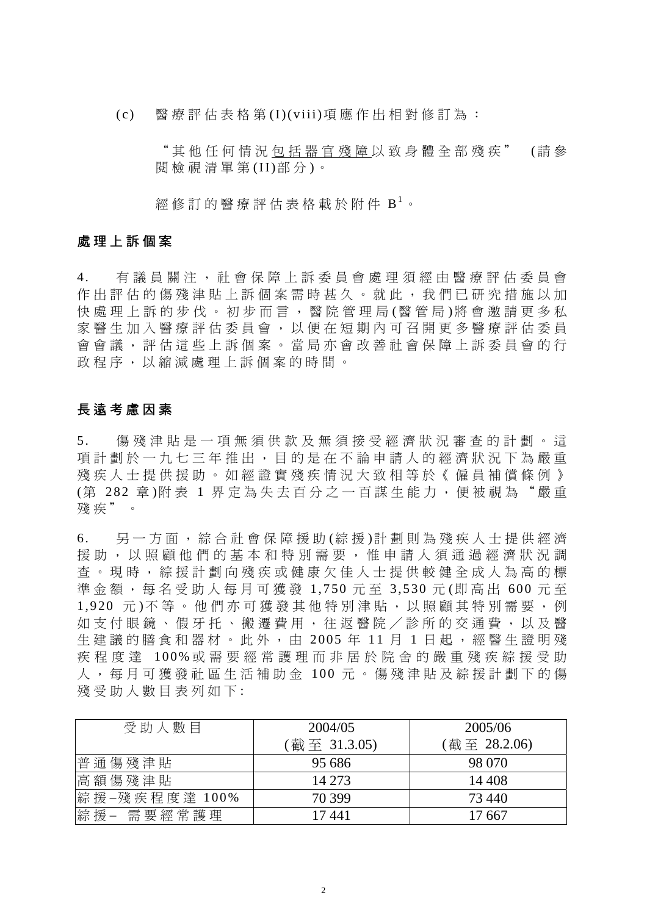(c) 醫療評估表格第 (I)(viii)項應作出相對修訂為:

"其他任何情況包括器官殘障 以致身體全部殘疾" (請 參 閱檢視清單第 (II)部 分 )。

經修訂的醫療評估表格載於附件 B<sup>1</sup>。

### 處理上訴個案

4. 有議員關注,社會保障上訴委員會處理須經由醫療評估委員會 作出評估的傷殘津貼上訴個案需時甚久。就此,我們已研究措施以加 快處理上訴的步伐。初步而言,醫院管理局(醫管局)將會邀請更多私 家 醫 生 加 入 醫 療 評 估 委 員 會 , 以 便 在 短 期 內 可 召 開 更 多 醫 療 評 估 委 員 會會議,評估這些上訴個案。當局亦會改善社會保障上訴委員會的行 政程序,以縮減處理上訴個案的時間。

## 長遠考慮因素

5. 傷殘津貼 是 一 項 無 須 供 款 及 無 須 接 受 經 濟 狀 況 審 杳 的 計 劃 。 這 項計劃於一九七三年推出,目的是在不論申請人的經濟狀況下為嚴重 殘疾人士提供援助。如經證實殘疾情況大致相等於《僱員補償條例》 (第 282 章)附表 1 界定為失去百分之一百謀生能力, 便被視為"嚴重 殘疾"。

6 . 另 一 方 面 , 綜 合社會保障 援 助 (綜 援 )計 劃 則 為殘疾人士提 供 經 濟 援助, 以照顧他們的基本和特別需要, 惟申請人須通過經濟狀況調 查。現時, 綜援計劃向殘疾或健康欠佳人士提供較健全成人為高的標 準金額,每名受助人每月可獲發 1,750元至 3,530元(即高出 600元至 1,920 元)不等。他們亦可獲發其他特別津貼,以照顧其特別需要,例 如支付眼鏡、假牙托、搬遷費用,往返醫院/診所的交通費,以及醫 牛 建議的膳食和器材。此外,由 2005年11月1日起,經醫生證明殘 疾程度 達 100% 或 需 要 經 常 護 理 而 非 居 於 院 舍 的 嚴 重 殘 疾 綜 援 受 助 人 , 每 月 可 獲 發 社 區 生 活 補 助 金 100 元 。傷殘津貼 及綜援 計劃下的傷 殘受助人數目表列如下:

| 受助人數目               | 2004/05      | 2005/06      |
|---------------------|--------------|--------------|
|                     | (截至 31.3.05) | (截至 28.2.06) |
| 普通傷殘津貼              | 95 686       | 98 070       |
| 高額傷殘津貼              | 14 273       | 14 4 08      |
| 綜 援 −殘 疾 程 度 達 100% | 70 399       | 73,440       |
| 綜援- 需要經常護理          | 17441        | 17 667       |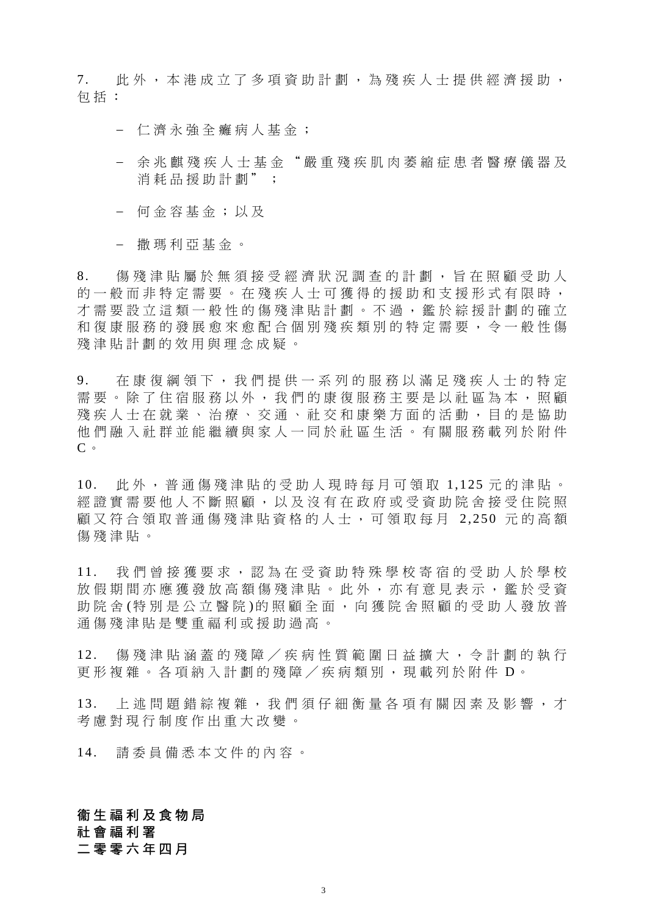7. 此 外 , 本 港 成 立 了 多 項 資 助 計 劃 , 為 殘 疾 人 士 提 供 經 濟 援 助 , 包括:

− 仁濟永強 全 癱 病 人 基 金 ;

- − 余兆麒 殘疾人士 基 金 " 嚴 重 殘 疾 肌肉萎縮症患者 醫 療 儀 器 及 消耗品援 助計劃" ;
- − 何 金 容 基 金 ; 以 及
- − 撒 瑪 利 亞 基 金 。

8. 傷殘津貼屬於無須接受經濟狀況調查的計劃,旨在照顧受助人 的一般而非特定需要。在殘疾人士可獲得的援助和支援形式有限時, 才需要設立這類一般性的傷殘津貼計劃。不過,鑑於綜援計劃的確立 和 復 康 服 務 的 發展愈來愈配 合 個 別 殘 疾 類 別 的 特 定 需 要 , 令 一 般 性 傷 殘津貼計劃的效用與理念成疑。

9. 在康 復 綱 領 下 , 我 們 提 供 一 系 列 的 服 務 以 滿 足 殘 疾 人 士 的 特 定 需 要 。 除 了 住 宿 服 務 以 外 , 我 們 的 康 復 服 務 主 要 是 以 社 區 為 本 , 照 顧 殘疾人士在就業、治療、交通、社交和康樂方面的活動, 目的是協助 他 們 融 入 社 群 並 能 繼 續 與 家 人 一 同 於 社 區 生活。有關 服 務 載列於附件 C。

10. 此 外 ,普通傷殘津貼的受助人現時 每 月可領取 1,125 元 的津貼。 經 證 實 需 要 他人不斷 照 顧 , 以 及 沒 有在政 府 或受資助院 舍 接 受 住 院 照 顧又符合領取普通傷殘津貼資格的人士,可領取每月 2,250 元的高額 傷殘津貼。

11. 我們曾 接獲要求 ,認為在受資助 特殊學校寄宿 的受助人於 學 校 放假期間亦應獲發放高額傷殘津貼。此外,亦有意見表示,鑑於受資 助院 舍 (特別是公立醫院)的照顧全面,向獲院舍照顧的受助人發放普 通傷殘津貼是雙重福利或援助過高。

12. 傷殘津貼 涵 蓋 的殘障 / 疾 病性質 範 圍 日 益 擴 大 , 令 計劃的 執 行 更形複雜。各項納入計劃的殘障/疾病類別,現載列於附件 D。

13. 上述問題錯綜複雜,我們須仔細衡量各項有關因素及影響,才 考慮對現行制度作出 重 大 改 變 。

14. 請委員 備 悉 本文件的 內 容 。

# **衛生福利及食物局** 社會福利署

二零零六年四月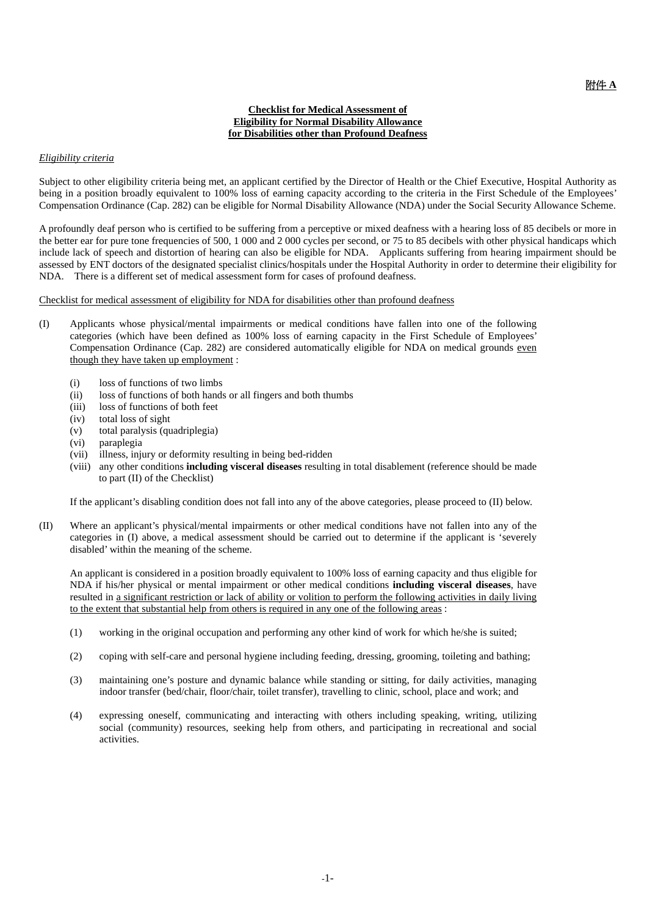#### **Checklist for Medical Assessment of Eligibility for Normal Disability Allowance for Disabilities other than Profound Deafness**

#### *Eligibility criteria*

Subject to other eligibility criteria being met, an applicant certified by the Director of Health or the Chief Executive, Hospital Authority as being in a position broadly equivalent to 100% loss of earning capacity according to the criteria in the First Schedule of the Employees' Compensation Ordinance (Cap. 282) can be eligible for Normal Disability Allowance (NDA) under the Social Security Allowance Scheme.

A profoundly deaf person who is certified to be suffering from a perceptive or mixed deafness with a hearing loss of 85 decibels or more in the better ear for pure tone frequencies of 500, 1 000 and 2 000 cycles per second, or 75 to 85 decibels with other physical handicaps which include lack of speech and distortion of hearing can also be eligible for NDA. Applicants suffering from hearing impairment should be assessed by ENT doctors of the designated specialist clinics/hospitals under the Hospital Authority in order to determine their eligibility for NDA. There is a different set of medical assessment form for cases of profound deafness.

Checklist for medical assessment of eligibility for NDA for disabilities other than profound deafness

- (I) Applicants whose physical/mental impairments or medical conditions have fallen into one of the following categories (which have been defined as 100% loss of earning capacity in the First Schedule of Employees' Compensation Ordinance (Cap. 282) are considered automatically eligible for NDA on medical grounds even though they have taken up employment :
	- (i) loss of functions of two limbs
	- (ii) loss of functions of both hands or all fingers and both thumbs
	- (iii) loss of functions of both feet
	- (iv) total loss of sight
	- (v) total paralysis (quadriplegia)
	- (vi) paraplegia
	- (vii) illness, injury or deformity resulting in being bed-ridden
	- (viii) any other conditions **including visceral diseases** resulting in total disablement (reference should be made to part (II) of the Checklist)

If the applicant's disabling condition does not fall into any of the above categories, please proceed to (II) below.

(II) Where an applicant's physical/mental impairments or other medical conditions have not fallen into any of the categories in (I) above, a medical assessment should be carried out to determine if the applicant is 'severely disabled' within the meaning of the scheme.

 An applicant is considered in a position broadly equivalent to 100% loss of earning capacity and thus eligible for NDA if his/her physical or mental impairment or other medical conditions **including visceral diseases**, have resulted in a significant restriction or lack of ability or volition to perform the following activities in daily living to the extent that substantial help from others is required in any one of the following areas :

- (1) working in the original occupation and performing any other kind of work for which he/she is suited;
- (2) coping with self-care and personal hygiene including feeding, dressing, grooming, toileting and bathing;
- (3) maintaining one's posture and dynamic balance while standing or sitting, for daily activities, managing indoor transfer (bed/chair, floor/chair, toilet transfer), travelling to clinic, school, place and work; and
- (4) expressing oneself, communicating and interacting with others including speaking, writing, utilizing social (community) resources, seeking help from others, and participating in recreational and social activities.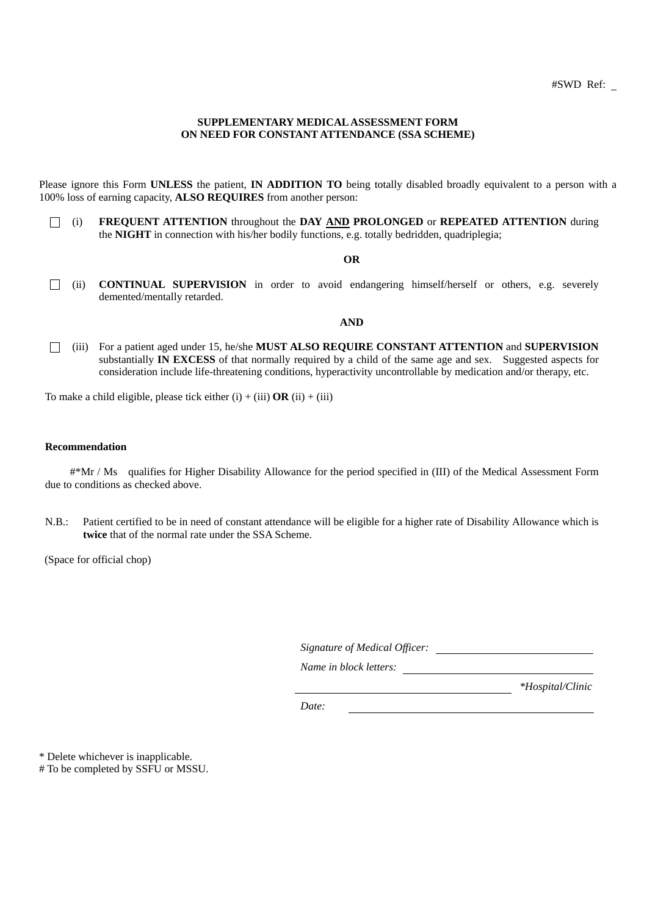#### **SUPPLEMENTARY MEDICAL ASSESSMENT FORM ON NEED FOR CONSTANT ATTENDANCE (SSA SCHEME)**

Please ignore this Form **UNLESS** the patient, **IN ADDITION TO** being totally disabled broadly equivalent to a person with a 100% loss of earning capacity, **ALSO REQUIRES** from another person:

□ (i) **FREQUENT ATTENTION** throughout the **DAY AND PROLONGED** or **REPEATED ATTENTION** during the **NIGHT** in connection with his/her bodily functions, e.g. totally bedridden, quadriplegia;

#### **OR**

□ (ii) **CONTINUAL SUPERVISION** in order to avoid endangering himself/herself or others, e.g. severely demented/mentally retarded.

#### **AND**

□ (iii) For a patient aged under 15, he/she **MUST ALSO REQUIRE CONSTANT ATTENTION** and **SUPERVISION**  substantially **IN EXCESS** of that normally required by a child of the same age and sex. Suggested aspects for consideration include life-threatening conditions, hyperactivity uncontrollable by medication and/or therapy, etc.

To make a child eligible, please tick either  $(i) + (iii)$  **OR**  $(ii) + (iii)$ 

#### **Recommendation**

#\*Mr / Ms qualifies for Higher Disability Allowance for the period specified in (III) of the Medical Assessment Form due to conditions as checked above.

N.B.: Patient certified to be in need of constant attendance will be eligible for a higher rate of Disability Allowance which is **twice** that of the normal rate under the SSA Scheme.

(Space for official chop)

| Signature of Medical Officer: |  |
|-------------------------------|--|
|                               |  |

*Name in block letters:*

 *\*Hospital/Clinic*

*Date:* 

\* Delete whichever is inapplicable.

# To be completed by SSFU or MSSU.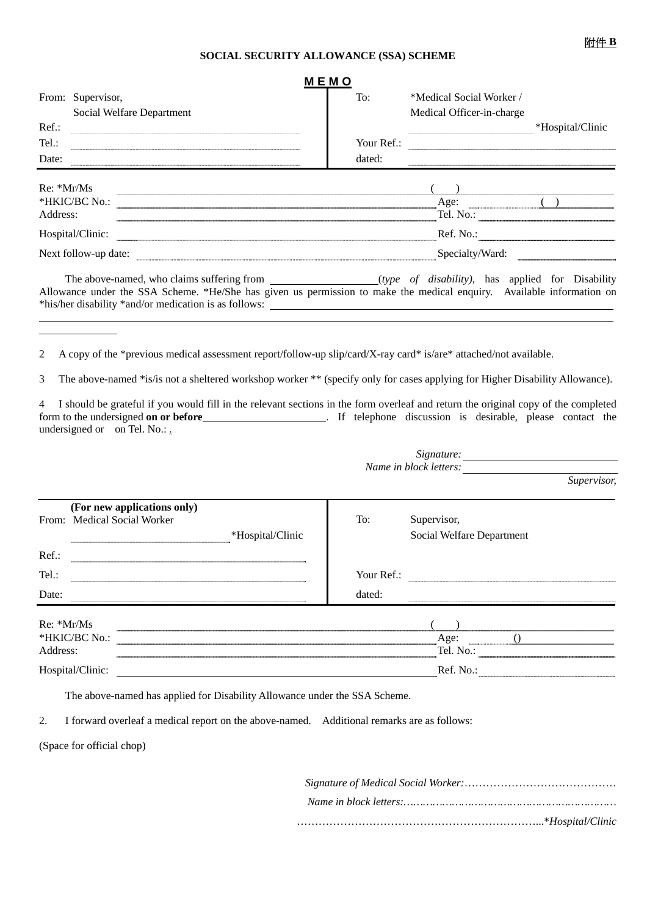#### **SOCIAL SECURITY ALLOWANCE (SSA) SCHEME**

|                          |                                                                                                                                                                                                                                                                                                     | MEMO       |                                |                  |
|--------------------------|-----------------------------------------------------------------------------------------------------------------------------------------------------------------------------------------------------------------------------------------------------------------------------------------------------|------------|--------------------------------|------------------|
|                          | From: Supervisor,                                                                                                                                                                                                                                                                                   | To:        | *Medical Social Worker         |                  |
|                          | Social Welfare Department                                                                                                                                                                                                                                                                           |            | Medical Officer-in-charge      |                  |
| Ref.:                    |                                                                                                                                                                                                                                                                                                     |            |                                | *Hospital/Clinic |
| Tel.:                    |                                                                                                                                                                                                                                                                                                     | Your Ref.: |                                |                  |
| Date:                    |                                                                                                                                                                                                                                                                                                     | dated:     |                                |                  |
| $Re: *Mr/Ms$<br>Address: | *HKIC/BC No.:<br>Hospital/Clinic:                                                                                                                                                                                                                                                                   |            | Age:<br>Tel. No.:<br>Ref. No.: |                  |
|                          | Next follow-up date:                                                                                                                                                                                                                                                                                |            | Specialty/Ward:                |                  |
|                          | The above-named, who claims suffering from ______________________(type of disability), has applied for Disability<br>Allowance under the SSA Scheme. *He/She has given us permission to make the medical enquiry. Available information on<br>*his/her disability *and/or medication is as follows: |            |                                |                  |

2 A copy of the \*previous medical assessment report/follow-up slip/card/X-ray card\* is/are\* attached/not available.

3 The above-named \*is/is not a sheltered workshop worker \*\* (specify only for cases applying for Higher Disability Allowance).

4 I should be grateful if you would fill in the relevant sections in the form overleaf and return the original copy of the completed form to the undersigned **on or before\_\_\_\_\_\_\_\_\_\_\_\_\_\_\_\_\_\_\_\_\_\_\_\_**. If telephone discussion is desirable, please contact the undersigned or on Tel. No.:.

|                          |                                                                                |            | Signature:<br>Name in block letters:                            |
|--------------------------|--------------------------------------------------------------------------------|------------|-----------------------------------------------------------------|
|                          |                                                                                |            | Supervisor,                                                     |
|                          | (For new applications only)<br>From: Medical Social Worker<br>*Hospital/Clinic | To:        | Supervisor,<br>Social Welfare Department                        |
| $Ref.$ :                 |                                                                                |            |                                                                 |
| Tel.:                    |                                                                                | Your Ref.: |                                                                 |
| Date:                    |                                                                                | dated:     |                                                                 |
| $Re: *Mr/Ms$<br>Address: | *HKIC/BC No.:                                                                  |            | Age:<br><b><i>BRIDGE COLLECTIVE COLLECTIVE</i></b><br>Tel. No.: |
|                          | Hospital/Clinic:                                                               |            | Ref. No.                                                        |

The above-named has applied for Disability Allowance under the SSA Scheme.

2. I forward overleaf a medical report on the above-named. Additional remarks are as follows:

(Space for official chop)

l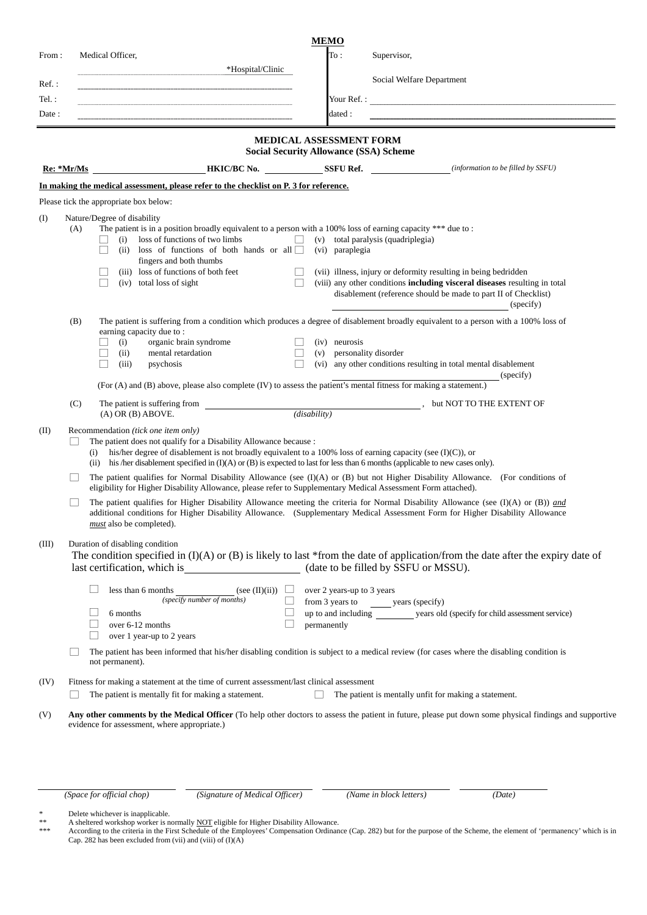|          |            | <b>MEMO</b>                                                                                                                                                                                                                                                                                                                                                                                                                                                                                                                                                                                                                                             |
|----------|------------|---------------------------------------------------------------------------------------------------------------------------------------------------------------------------------------------------------------------------------------------------------------------------------------------------------------------------------------------------------------------------------------------------------------------------------------------------------------------------------------------------------------------------------------------------------------------------------------------------------------------------------------------------------|
| From:    |            | To:<br>Medical Officer,<br>Supervisor,                                                                                                                                                                                                                                                                                                                                                                                                                                                                                                                                                                                                                  |
| $Ref.$ : |            | *Hospital/Clinic<br>Social Welfare Department                                                                                                                                                                                                                                                                                                                                                                                                                                                                                                                                                                                                           |
| Tel. :   |            | Your Ref. :                                                                                                                                                                                                                                                                                                                                                                                                                                                                                                                                                                                                                                             |
| Date:    |            | dated :                                                                                                                                                                                                                                                                                                                                                                                                                                                                                                                                                                                                                                                 |
|          |            | MEDICAL ASSESSMENT FORM                                                                                                                                                                                                                                                                                                                                                                                                                                                                                                                                                                                                                                 |
|          |            | <b>Social Security Allowance (SSA) Scheme</b>                                                                                                                                                                                                                                                                                                                                                                                                                                                                                                                                                                                                           |
|          | Re: *Mr/Ms | <b>HKIC/BC No.</b> SSFU Ref. <i>(information to be filled by SSFU</i> )                                                                                                                                                                                                                                                                                                                                                                                                                                                                                                                                                                                 |
|          |            | In making the medical assessment, please refer to the checklist on P. 3 for reference.                                                                                                                                                                                                                                                                                                                                                                                                                                                                                                                                                                  |
|          |            | Please tick the appropriate box below:                                                                                                                                                                                                                                                                                                                                                                                                                                                                                                                                                                                                                  |
| $($ I    | (A)        | Nature/Degree of disability<br>The patient is in a position broadly equivalent to a person with a 100% loss of earning capacity *** due to :<br>loss of functions of two limbs<br>(v) total paralysis (quadriplegia)<br>$\Box$<br>(i)<br>loss of functions of both hands or all $\Box$ (vi) paraplegia<br>(ii)<br>fingers and both thumbs<br>(iii) loss of functions of both feet<br>(vii) illness, injury or deformity resulting in being bedridden<br>$\Box$<br>(viii) any other conditions including visceral diseases resulting in total<br>(iv) total loss of sight<br>disablement (reference should be made to part II of Checklist)<br>(specify) |
|          | (B)        | The patient is suffering from a condition which produces a degree of disablement broadly equivalent to a person with a 100% loss of<br>earning capacity due to:<br>organic brain syndrome<br>(i)<br>(iv) neurosis<br>$\Box$<br>$\Box$<br>personality disorder<br>(ii)<br>mental retardation<br>$\Box$<br>(v)<br>(vi) any other conditions resulting in total mental disablement<br>(iii)<br>psychosis<br>(specify)<br>(For (A) and (B) above, please also complete (IV) to assess the patient's mental fitness for making a statement.)                                                                                                                 |
|          | (C)        | The patient is suffering from<br>but NOT TO THE EXTENT OF                                                                                                                                                                                                                                                                                                                                                                                                                                                                                                                                                                                               |
|          |            | (disability)<br>$(A)$ OR $(B)$ ABOVE.                                                                                                                                                                                                                                                                                                                                                                                                                                                                                                                                                                                                                   |
| (II)     |            | Recommendation (tick one item only)<br>The patient does not qualify for a Disability Allowance because :<br>his/her degree of disablement is not broadly equivalent to a 100% loss of earning capacity (see $(I)(C)$ ), or<br>(i)<br>(ii) his /her disablement specified in $(I)(A)$ or $(B)$ is expected to last for less than 6 months (applicable to new cases only).                                                                                                                                                                                                                                                                                |
|          |            | The patient qualifies for Normal Disability Allowance (see $(I)(A)$ or $(B)$ but not Higher Disability Allowance. (For conditions of<br>eligibility for Higher Disability Allowance, please refer to Supplementary Medical Assessment Form attached).                                                                                                                                                                                                                                                                                                                                                                                                   |
|          |            | The patient qualifies for Higher Disability Allowance meeting the criteria for Normal Disability Allowance (see $(I)(A)$ or $(B)$ ) and<br>additional conditions for Higher Disability Allowance. (Supplementary Medical Assessment Form for Higher Disability Allowance<br>must also be completed).                                                                                                                                                                                                                                                                                                                                                    |
| (III)    |            | Duration of disabling condition<br>The condition specified in $(I)(A)$ or $(B)$ is likely to last *from the date of application/from the date after the expiry date of                                                                                                                                                                                                                                                                                                                                                                                                                                                                                  |
|          |            | less than 6 months<br>(see (II)(ii))<br>over 2 years-up to 3 years<br>(specify number of months)<br>from 3 years to years (specify)                                                                                                                                                                                                                                                                                                                                                                                                                                                                                                                     |
|          |            | up to and including __________ years old (specify for child assessment service)<br>6 months<br>over 6-12 months<br>permanently<br>$\vert \ \ \vert$<br>$\Box$<br>over 1 year-up to 2 years                                                                                                                                                                                                                                                                                                                                                                                                                                                              |
|          |            | The patient has been informed that his/her disabling condition is subject to a medical review (for cases where the disabling condition is<br>not permanent).                                                                                                                                                                                                                                                                                                                                                                                                                                                                                            |
| (IV)     |            | Fitness for making a statement at the time of current assessment/last clinical assessment<br>The patient is mentally fit for making a statement.<br>П<br>The patient is mentally unfit for making a statement.                                                                                                                                                                                                                                                                                                                                                                                                                                          |
| (V)      |            | Any other comments by the Medical Officer (To help other doctors to assess the patient in future, please put down some physical findings and supportive<br>evidence for assessment, where appropriate.)                                                                                                                                                                                                                                                                                                                                                                                                                                                 |

*(Space for official chop) (Signature of Medical Officer) (Name in block letters) (Date)* 

\* Delete whichever is inapplicable.

\*\* A sheltered workshop worker is normally NOT eligible for Higher Disability Allowance.

\*\*\* According to the criteria in the First Schedule of the Employees' Compensation Ordinance (Cap. 282) but for the purpose of the Scheme, the element of 'permanency' which is in Cap. 282 has been excluded from (vii) and (viii) of (I)(A)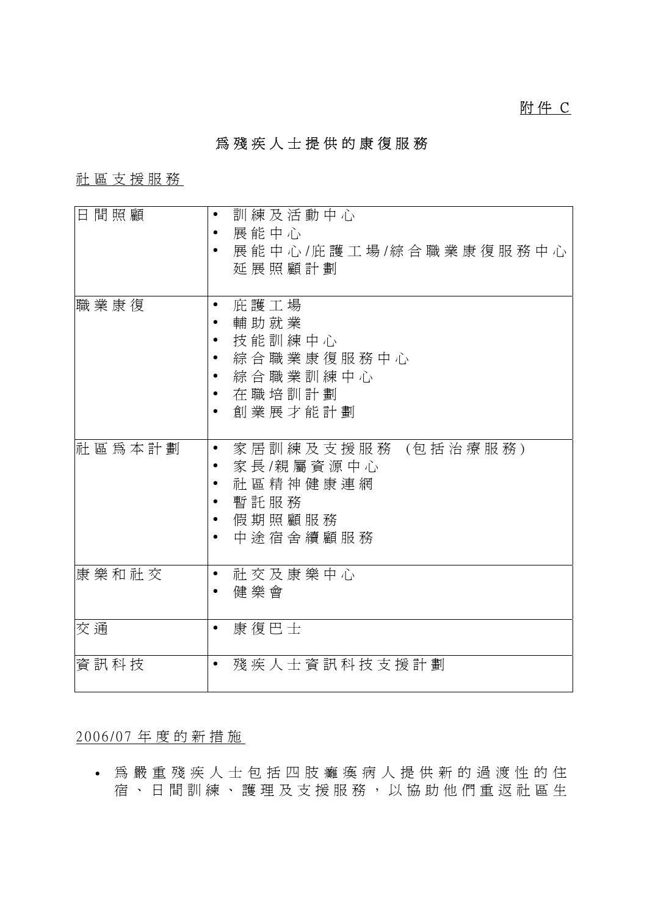# 為殘疾人士提供的康復服務

# 社區支援服務

| 日間照顧        | 訓練及活動中心                                       |
|-------------|-----------------------------------------------|
|             | 展能中心                                          |
|             | 展能中心/庇護工場/綜合職業康復服務中心                          |
|             | 延展照顧計劃                                        |
|             |                                               |
| 職 業 康 復     | 庇護工場<br>$\bullet$                             |
|             |                                               |
|             | 輔助就業                                          |
|             | 技能訓練中心                                        |
|             | 綜合職業康復服務中心                                    |
|             | 綜合職業訓練中心                                      |
|             | 在職培訓計劃                                        |
|             | 創業展才能計劃                                       |
|             |                                               |
|             |                                               |
| 社 區 爲 本 計 劃 | 家 居 訓 練 及 支 援 服 務 (包 括 治 療 服 務 )<br>$\bullet$ |
|             | 家長/親屬資源中心                                     |
|             | 社區精神健康連網                                      |
|             | 暫託服務                                          |
|             | 假期照顧服務                                        |
|             | 中途宿舍續顧服務                                      |
|             |                                               |
| 康樂和社交       | 社交及康樂中心<br>$\bullet$                          |
|             |                                               |
|             | 健樂會                                           |
|             |                                               |
| 交通          | 康復巴士<br>$\bullet$                             |
|             |                                               |
| 資訊科技        | 殘疾人士資訊科技支援計劃                                  |
|             |                                               |

2006/07 年度的新措施

• 為嚴重殘疾人士包括四肢癱瘓病人提供新的過渡性的住 宿、日間訓練、護理及支援服務,以協助他們重返社區生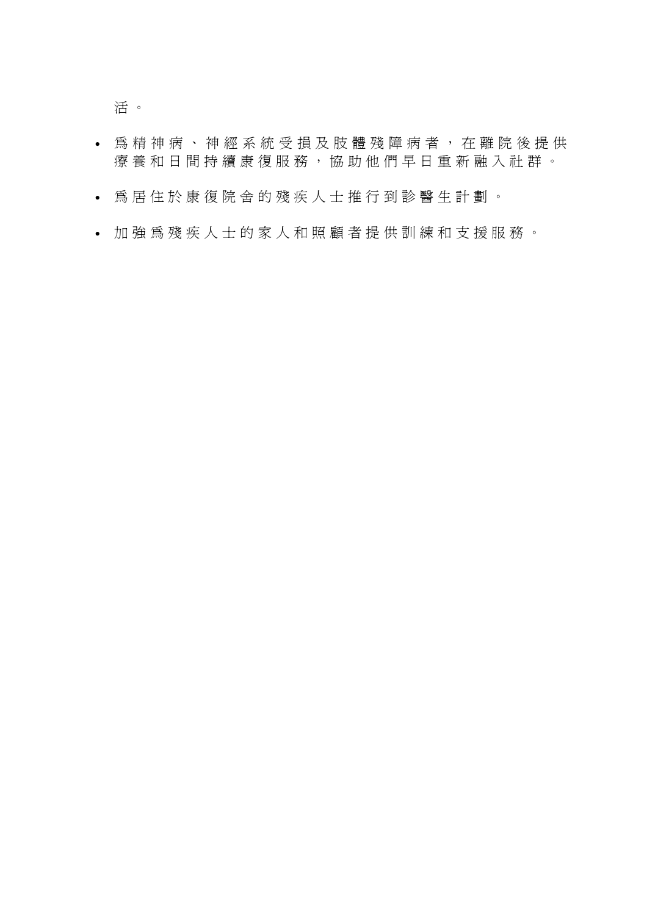活 。

- 為精神病、神經系統受損及肢 體殘障病者,在離院後提供 療養和日間持續康復服務,協助他們早日重新融入社群。
- 為居住於康復院舍的殘疾人士推行到診醫生計劃。
- 加強為殘疾人士的家人和照顧者提供訓練和支援服務。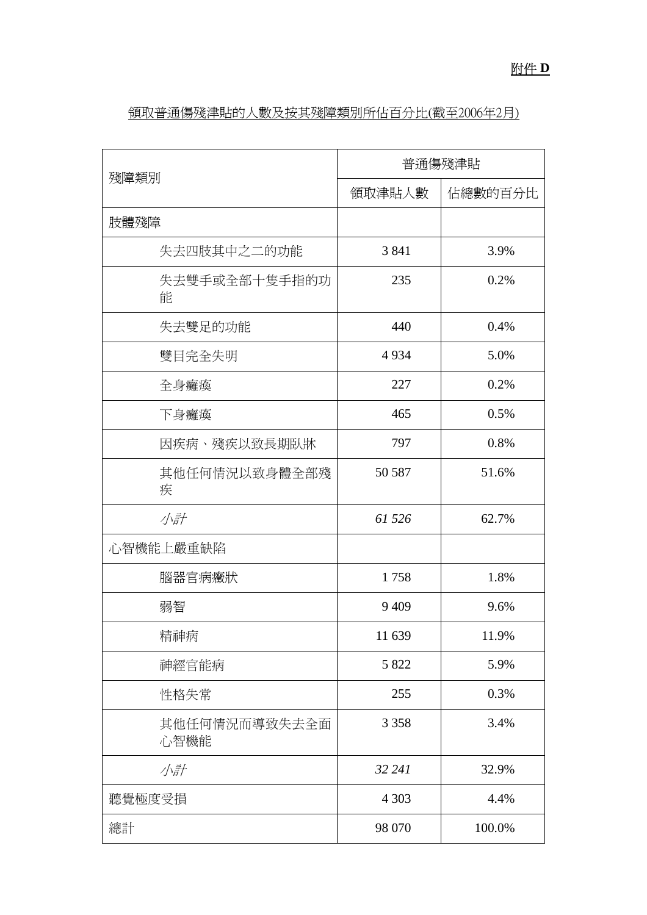| 殘障類別                  | 普通傷殘津貼  |         |
|-----------------------|---------|---------|
|                       | 領取津貼人數  | 佔總數的百分比 |
| 肢體殘障                  |         |         |
| 失去四肢其中之二的功能           | 3841    | 3.9%    |
| 失去雙手或全部十隻手指的功<br>能    | 235     | 0.2%    |
| 失去雙足的功能               | 440     | 0.4%    |
| 雙目完全失明                | 4934    | 5.0%    |
| 全身癱瘓                  | 227     | 0.2%    |
| 下身癱瘓                  | 465     | 0.5%    |
| 因疾病、殘疾以致長期臥牀          | 797     | 0.8%    |
| 其他任何情況以致身體全部殘<br>疾    | 50 587  | 51.6%   |
| 小計                    | 61 526  | 62.7%   |
| 心智機能上嚴重缺陷             |         |         |
| 腦器官病癥狀                | 1758    | 1.8%    |
| 弱智                    | 9 4 0 9 | 9.6%    |
| 精神病                   | 11 639  | 11.9%   |
| 神經官能病                 | 5 8 2 2 | 5.9%    |
| 性格失常                  | 255     | 0.3%    |
| 其他任何情況而導致失去全面<br>心智機能 | 3 3 5 8 | 3.4%    |
| 小計                    | 32 24 1 | 32.9%   |
| 聽覺極度受損                | 4 3 0 3 | 4.4%    |
| 總計                    | 98 070  | 100.0%  |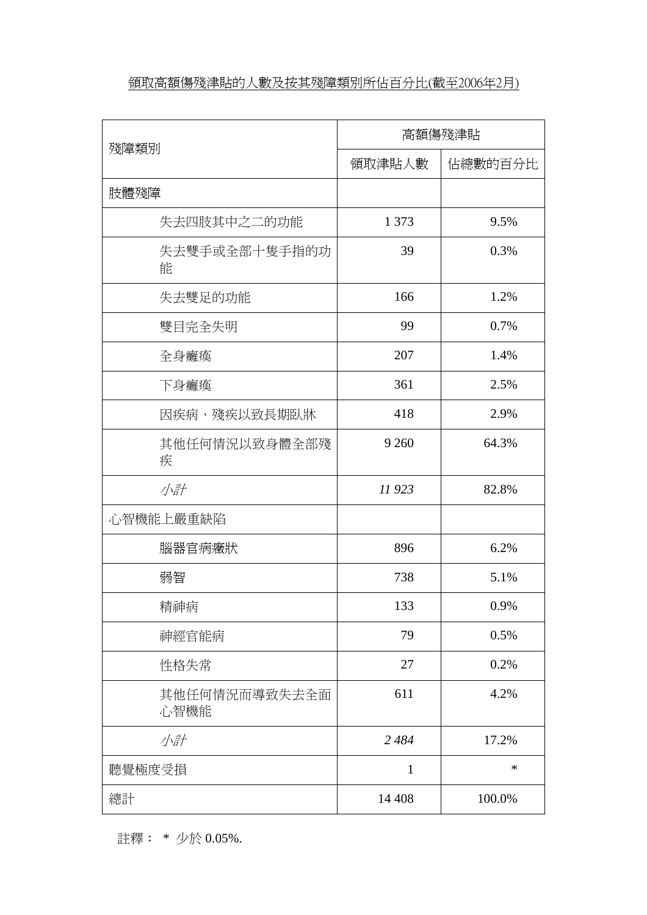# 領取高額傷殘津貼的人數及按其殘障類別所佔百分比(截至2006年2月)

|                       | 高額傷殘津貼       |         |
|-----------------------|--------------|---------|
| 殘障類別                  | 領取津貼人數       | 佔總數的百分比 |
| 肢體殘障                  |              |         |
| 失去四肢其中之二的功能           | 1 3 7 3      | 9.5%    |
| 失去雙手或全部十隻手指的功<br>能    | 39           | 0.3%    |
| 失去雙足的功能               | 166          | 1.2%    |
| 雙目完全失明                | 99           | 0.7%    |
| 全身癱瘓                  | 207          | 1.4%    |
| 下身癱瘓                  | 361          | 2.5%    |
| 因疾病、殘疾以致長期臥牀          | 418          | 2.9%    |
| 其他任何情況以致身體全部殘<br>疾    | 9 2 6 0      | 64.3%   |
| 小計                    | 11 923       | 82.8%   |
| 心智機能上嚴重缺陷             |              |         |
| 腦器官病癥狀                | 896          | 6.2%    |
| 弱智                    | 738          | 5.1%    |
| 精神病                   | 133          | 0.9%    |
| 神經官能病                 | 79           | 0.5%    |
| 性格失常                  | 27           | 0.2%    |
| 其他任何情況而導致失去全面<br>心智機能 | 611          | 4.2%    |
| 小計                    | 2 4 8 4      | 17.2%   |
| 聽覺極度受損                | $\mathbf{1}$ | $\ast$  |
| 總計                    | 14 4 08      | 100.0%  |

註釋: \* 少於 0.05%.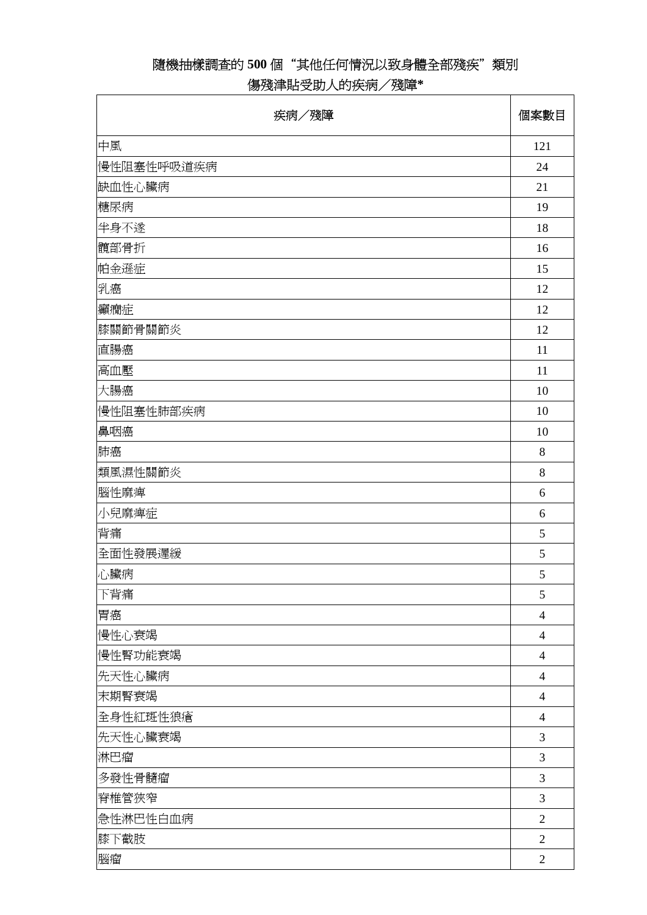# 隨機抽樣調查的 **500** 個"其他任何情況以致身體全部殘疾"類別

# 傷殘津貼受助人的疾病/殘障**\***

| 疾病/殘障      | 個案數目           |
|------------|----------------|
| 中風         | 121            |
| 慢性阻塞性呼吸道疾病 | 24             |
| 缺血性心臟病     | 21             |
| 糖尿病        | 19             |
| 半身不遂       | 18             |
| 髖部骨折       | 16             |
| 帕金遜症       | 15             |
| 乳癌         | 12             |
| 癲癇症        | 12             |
| 膝關節骨關節炎    | 12             |
| 直腸癌        | 11             |
| 高血壓        | 11             |
| 大腸癌        | 10             |
| 慢性阻塞性肺部疾病  | 10             |
| 鼻咽癌        | 10             |
| 肺癌         | 8              |
| 類風濕性關節炎    | 8              |
| 腦性麻痺       | 6              |
| 小兒麻痺症      | 6              |
| 背痛         | 5              |
| 全面性發展遲緩    | 5              |
| 心臟病        | 5              |
| 下背痛        | 5              |
| 胃癌         | $\overline{4}$ |
| 慢性心衰竭      | $\overline{4}$ |
| 慢性腎功能衰竭    | $\overline{4}$ |
| 先天性心臟病     | $\overline{4}$ |
| 末期腎衰竭      | $\overline{4}$ |
| 全身性紅斑性狼瘡   | $\overline{4}$ |
| 先天性心臟衰竭    | 3              |
| 淋巴瘤        | 3              |
| 多發性骨髓瘤     | 3              |
| 脊椎管狹窄      | $\mathfrak{Z}$ |
| 急性淋巴性白血病   | $\overline{2}$ |
| 膝下截肢       | $\overline{2}$ |
| 腦瘤         | $\overline{2}$ |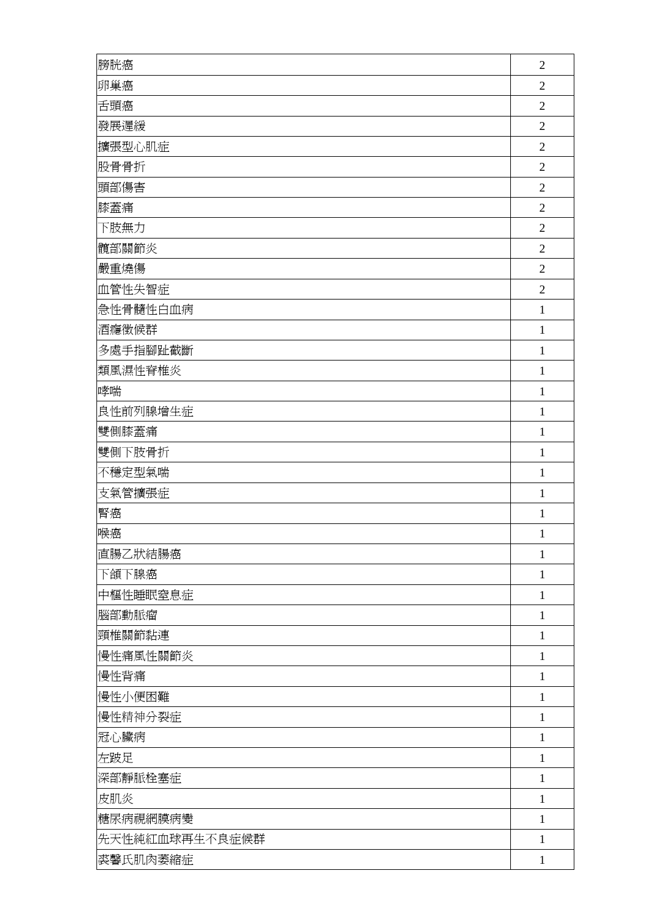| 膀胱癌            | $\overline{2}$ |
|----------------|----------------|
| 卵巢癌            | $\overline{2}$ |
| 舌頭癌            | $\overline{2}$ |
| 發展遲緩           | $\overline{2}$ |
| 擴張型心肌症         | $\overline{2}$ |
| 股骨骨折           | $\overline{2}$ |
| 頭部傷害           | $\overline{2}$ |
| 膝蓋痛            | $\overline{2}$ |
| 下肢無力           | $\overline{2}$ |
| 髖部關節炎          | $\overline{2}$ |
| 嚴重燒傷           | $\overline{2}$ |
| 血管性失智症         | $\overline{2}$ |
| 急性骨髓性白血病       | 1              |
| 酒癮徵候群          | 1              |
| 多處手指腳趾截斷       | $\mathbf{1}$   |
| 類風濕性脊椎炎        | $\mathbf{1}$   |
| 哮喘             | $\mathbf{1}$   |
| 良性前列腺增生症       | 1              |
| 雙側膝蓋痛          | $\mathbf{1}$   |
| 雙側下肢骨折         | $\mathbf{1}$   |
| 不穩定型氣喘         | 1              |
| 支氣管擴張症         | 1              |
| 腎癌             | 1              |
| 喉癌             | 1              |
| 直腸乙狀結腸癌        | $\mathbf{1}$   |
| 下頜下腺癌          | 1              |
| 中樞性睡眠窒息症       | $\mathbf{1}$   |
| 腦部動脈瘤          | 1              |
| 頸椎關節黏連         | 1              |
| 慢性痛風性關節炎       | 1              |
| 慢性背痛           | $\mathbf{1}$   |
| 慢性小便困難         | $\mathbf{1}$   |
| 慢性精神分裂症        | 1              |
| 冠心臟病           | 1              |
| 左跛足            | $\mathbf{1}$   |
| 深部靜脈栓塞症        | $\mathbf{1}$   |
| 皮肌炎            | 1              |
| 糖尿病視網膜病變       | 1              |
| 先天性純紅血球再生不良症候群 | 1              |
| 裘馨氏肌肉萎縮症       | $\mathbf{1}$   |